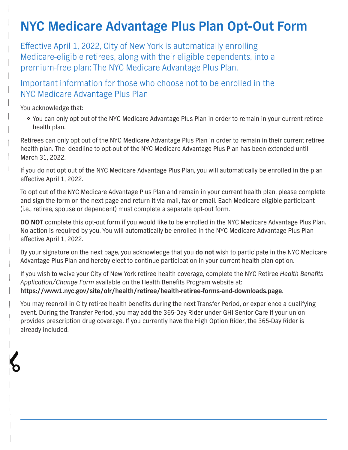## **NYC Medicare Advantage Plus Plan Opt-Out Form**

Effective April 1, 2022, City of New York is automatically enrolling Medicare-eligible retirees, along with their eligible dependents, into a premium-free plan: The NYC Medicare Advantage Plus Plan.

Important information for those who choose not to be enrolled in the NYC Medicare Advantage Plus Plan

You acknowledge that:

} You can only opt out of the NYC Medicare Advantage Plus Plan in order to remain in your current retiree health plan.

Retirees can only opt out of the NYC Medicare Advantage Plus Plan in order to remain in their current retiree health plan. The deadline to opt-out of the NYC Medicare Advantage Plus Plan has been extended until March 31, 2022.

If you do not opt out of the NYC Medicare Advantage Plus Plan, you will automatically be enrolled in the plan effective April 1, 2022.

To opt out of the NYC Medicare Advantage Plus Plan and remain in your current health plan, please complete and sign the form on the next page and return it via mail, fax or email. Each Medicare-eligible participant (i.e., retiree, spouse or dependent) must complete a separate opt-out form.

**DO NOT** complete this opt-out form if you would like to be enrolled in the NYC Medicare Advantage Plus Plan. No action is required by you. You will automatically be enrolled in the NYC Medicare Advantage Plus Plan effective April 1, 2022.

By your signature on the next page, you acknowledge that you **do not** wish to participate in the NYC Medicare Advantage Plus Plan and hereby elect to continue participation in your current health plan option.

If you wish to waive your City of New York retiree health coverage, complete the NYC Retiree Health Benefits Application/Change Form available on the Health Benefits Program website at: **https://www1.nyc.gov/site/olr/health/retiree/health-retiree-forms-and-downloads.page**.

You may reenroll in City retiree health benefits during the next Transfer Period, or experience a qualifying event. During the Transfer Period, you may add the 365-Day Rider under GHI Senior Care if your union provides prescription drug coverage. If you currently have the High Option Rider, the 365-Day Rider is already included.